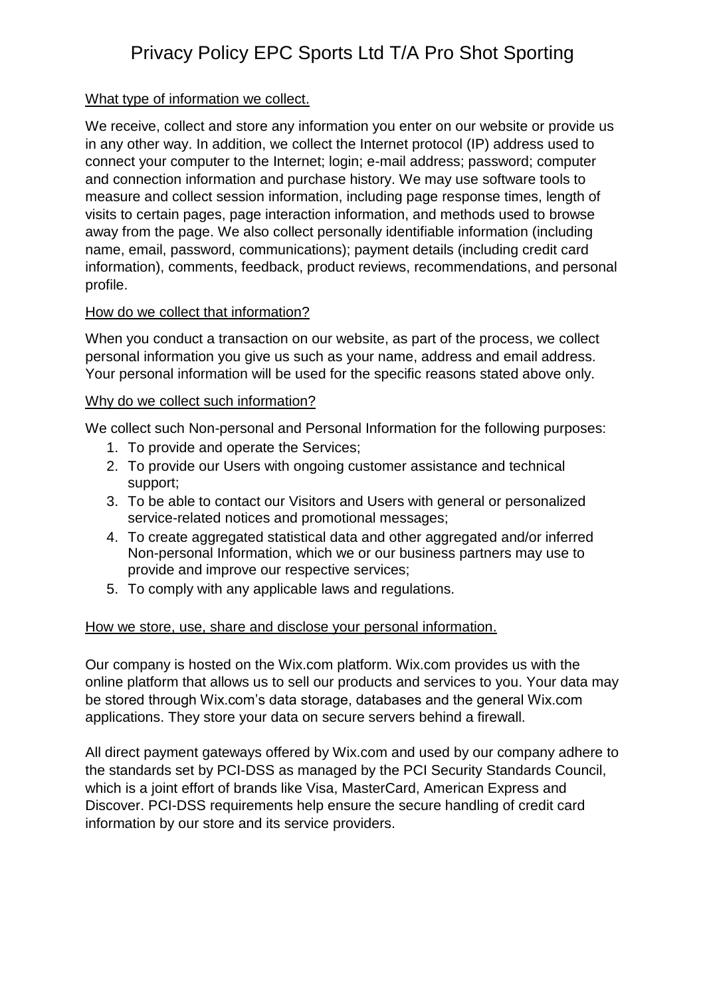# Privacy Policy EPC Sports Ltd T/A Pro Shot Sporting

## What type of information we collect.

We receive, collect and store any information you enter on our website or provide us in any other way. In addition, we collect the Internet protocol (IP) address used to connect your computer to the Internet; login; e-mail address; password; computer and connection information and purchase history. We may use software tools to measure and collect session information, including page response times, length of visits to certain pages, page interaction information, and methods used to browse away from the page. We also collect personally identifiable information (including name, email, password, communications); payment details (including credit card information), comments, feedback, product reviews, recommendations, and personal profile.

## How do we collect that information?

When you conduct a transaction on our website, as part of the process, we collect personal information you give us such as your name, address and email address. Your personal information will be used for the specific reasons stated above only.

### Why do we collect such information?

We collect such Non-personal and Personal Information for the following purposes:

- 1. To provide and operate the Services;
- 2. To provide our Users with ongoing customer assistance and technical support;
- 3. To be able to contact our Visitors and Users with general or personalized service-related notices and promotional messages;
- 4. To create aggregated statistical data and other aggregated and/or inferred Non-personal Information, which we or our business partners may use to provide and improve our respective services;
- 5. To comply with any applicable laws and regulations.

### How we store, use, share and disclose your personal information.

Our company is hosted on the Wix.com platform. Wix.com provides us with the online platform that allows us to sell our products and services to you. Your data may be stored through Wix.com's data storage, databases and the general Wix.com applications. They store your data on secure servers behind a firewall.

All direct payment gateways offered by Wix.com and used by our company adhere to the standards set by PCI-DSS as managed by the PCI Security Standards Council, which is a joint effort of brands like Visa, MasterCard, American Express and Discover. PCI-DSS requirements help ensure the secure handling of credit card information by our store and its service providers.